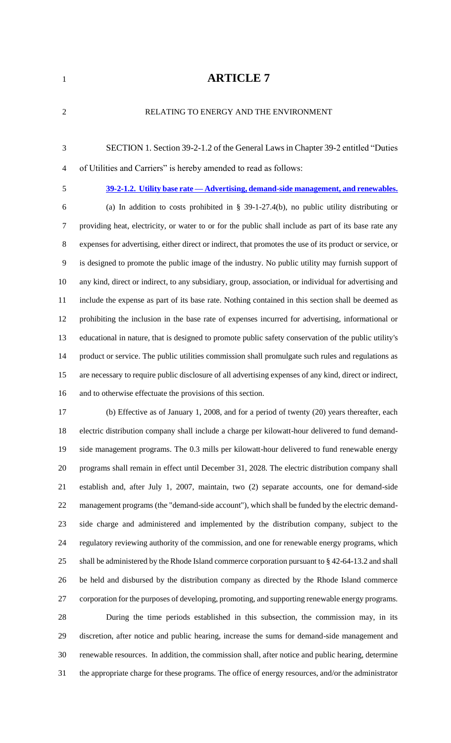## **ARTICLE 7**

| RELATING TO ENERGY AND THE ENVIRONMENT                                                                   |
|----------------------------------------------------------------------------------------------------------|
| SECTION 1. Section 39-2-1.2 of the General Laws in Chapter 39-2 entitled "Duties"                        |
| of Utilities and Carriers" is hereby amended to read as follows:                                         |
| 39-2-1.2. Utility base rate — Advertising, demand-side management, and renewables.                       |
| (a) In addition to costs prohibited in § 39-1-27.4(b), no public utility distributing or                 |
| providing heat, electricity, or water to or for the public shall include as part of its base rate any    |
| expenses for advertising, either direct or indirect, that promotes the use of its product or service, or |
| is designed to promote the public image of the industry. No public utility may furnish support of        |
| any kind, direct or indirect, to any subsidiary, group, association, or individual for advertising and   |
| include the expense as part of its base rate. Nothing contained in this section shall be deemed as       |
| prohibiting the inclusion in the base rate of expenses incurred for advertising, informational or        |
| educational in nature, that is designed to promote public safety conservation of the public utility's    |
| product or service. The public utilities commission shall promulgate such rules and regulations as       |
| are necessary to require public disclosure of all advertising expenses of any kind, direct or indirect,  |
| and to otherwise effectuate the provisions of this section.                                              |
| (b) Effective as of January 1, 2008, and for a period of twenty (20) years thereafter, each              |
| electric distribution company shall include a charge per kilowatt-hour delivered to fund demand-         |
| side management programs. The 0.3 mills per kilowatt-hour delivered to fund renewable energy             |
| programs shall remain in effect until December 31, 2028. The electric distribution company shall         |
| establish and, after July 1, 2007, maintain, two (2) separate accounts, one for demand-side              |
| management programs (the "demand-side account"), which shall be funded by the electric demand-           |
| side charge and administered and implemented by the distribution company, subject to the                 |
| regulatory reviewing authority of the commission, and one for renewable energy programs, which           |
| shall be administered by the Rhode Island commerce corporation pursuant to $\S$ 42-64-13.2 and shall     |
| be held and disbursed by the distribution company as directed by the Rhode Island commerce               |
| corporation for the purposes of developing, promoting, and supporting renewable energy programs.         |
| During the time periods established in this subsection, the commission may, in its                       |
| discretion, after notice and public hearing, increase the sums for demand-side management and            |
| renewable resources. In addition, the commission shall, after notice and public hearing, determine       |
|                                                                                                          |

the appropriate charge for these programs. The office of energy resources, and/or the administrator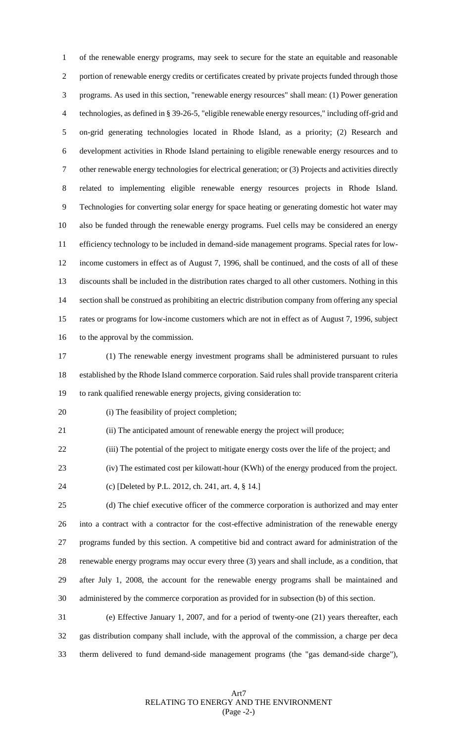of the renewable energy programs, may seek to secure for the state an equitable and reasonable portion of renewable energy credits or certificates created by private projects funded through those programs. As used in this section, "renewable energy resources" shall mean: (1) Power generation technologies, as defined in § 39-26-5, "eligible renewable energy resources," including off-grid and on-grid generating technologies located in Rhode Island, as a priority; (2) Research and development activities in Rhode Island pertaining to eligible renewable energy resources and to other renewable energy technologies for electrical generation; or (3) Projects and activities directly related to implementing eligible renewable energy resources projects in Rhode Island. Technologies for converting solar energy for space heating or generating domestic hot water may also be funded through the renewable energy programs. Fuel cells may be considered an energy efficiency technology to be included in demand-side management programs. Special rates for low- income customers in effect as of August 7, 1996, shall be continued, and the costs of all of these discounts shall be included in the distribution rates charged to all other customers. Nothing in this section shall be construed as prohibiting an electric distribution company from offering any special rates or programs for low-income customers which are not in effect as of August 7, 1996, subject 16 to the approval by the commission.

 (1) The renewable energy investment programs shall be administered pursuant to rules established by the Rhode Island commerce corporation. Said rules shall provide transparent criteria to rank qualified renewable energy projects, giving consideration to:

(i) The feasibility of project completion;

(ii) The anticipated amount of renewable energy the project will produce;

(iii) The potential of the project to mitigate energy costs over the life of the project; and

(iv) The estimated cost per kilowatt-hour (KWh) of the energy produced from the project.

(c) [Deleted by P.L. 2012, ch. 241, art. 4, § 14.]

 (d) The chief executive officer of the commerce corporation is authorized and may enter into a contract with a contractor for the cost-effective administration of the renewable energy programs funded by this section. A competitive bid and contract award for administration of the renewable energy programs may occur every three (3) years and shall include, as a condition, that after July 1, 2008, the account for the renewable energy programs shall be maintained and administered by the commerce corporation as provided for in subsection (b) of this section.

 (e) Effective January 1, 2007, and for a period of twenty-one (21) years thereafter, each gas distribution company shall include, with the approval of the commission, a charge per deca therm delivered to fund demand-side management programs (the "gas demand-side charge"),

> Art7 RELATING TO ENERGY AND THE ENVIRONMENT (Page -2-)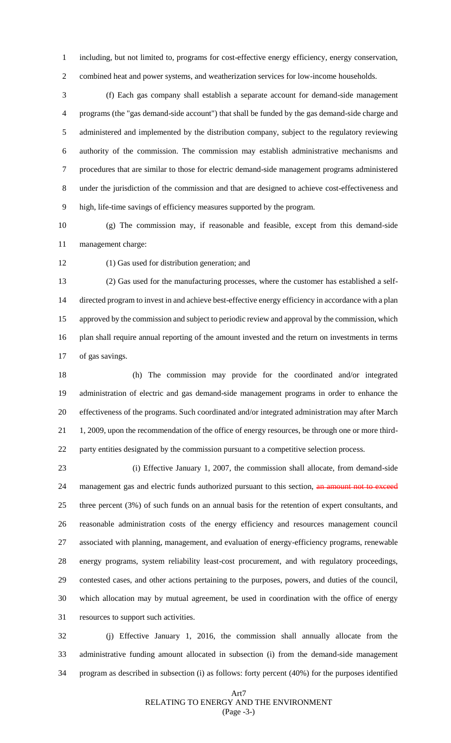including, but not limited to, programs for cost-effective energy efficiency, energy conservation, combined heat and power systems, and weatherization services for low-income households.

 (f) Each gas company shall establish a separate account for demand-side management programs (the "gas demand-side account") that shall be funded by the gas demand-side charge and administered and implemented by the distribution company, subject to the regulatory reviewing authority of the commission. The commission may establish administrative mechanisms and procedures that are similar to those for electric demand-side management programs administered under the jurisdiction of the commission and that are designed to achieve cost-effectiveness and high, life-time savings of efficiency measures supported by the program.

 (g) The commission may, if reasonable and feasible, except from this demand-side management charge:

(1) Gas used for distribution generation; and

 (2) Gas used for the manufacturing processes, where the customer has established a self- directed program to invest in and achieve best-effective energy efficiency in accordance with a plan approved by the commission and subject to periodic review and approval by the commission, which plan shall require annual reporting of the amount invested and the return on investments in terms of gas savings.

 (h) The commission may provide for the coordinated and/or integrated administration of electric and gas demand-side management programs in order to enhance the effectiveness of the programs. Such coordinated and/or integrated administration may after March 1, 2009, upon the recommendation of the office of energy resources, be through one or more third-party entities designated by the commission pursuant to a competitive selection process.

 (i) Effective January 1, 2007, the commission shall allocate, from demand-side 24 management gas and electric funds authorized pursuant to this section, an amount not to exceed three percent (3%) of such funds on an annual basis for the retention of expert consultants, and reasonable administration costs of the energy efficiency and resources management council associated with planning, management, and evaluation of energy-efficiency programs, renewable energy programs, system reliability least-cost procurement, and with regulatory proceedings, contested cases, and other actions pertaining to the purposes, powers, and duties of the council, which allocation may by mutual agreement, be used in coordination with the office of energy resources to support such activities.

 (j) Effective January 1, 2016, the commission shall annually allocate from the administrative funding amount allocated in subsection (i) from the demand-side management program as described in subsection (i) as follows: forty percent (40%) for the purposes identified

## Art7 RELATING TO ENERGY AND THE ENVIRONMENT (Page -3-)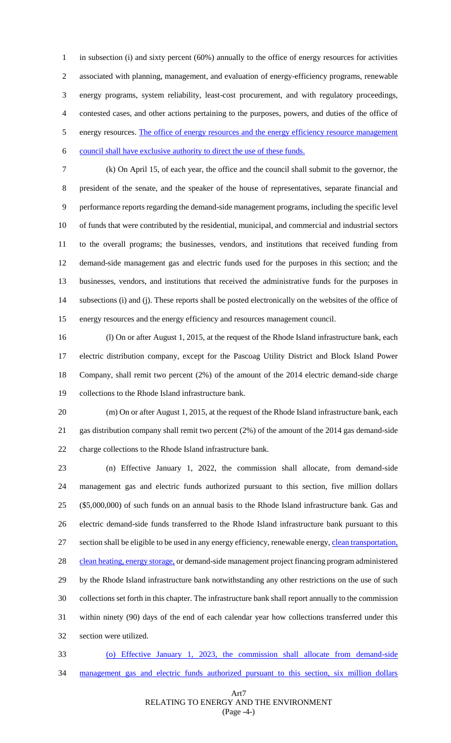in subsection (i) and sixty percent (60%) annually to the office of energy resources for activities associated with planning, management, and evaluation of energy-efficiency programs, renewable energy programs, system reliability, least-cost procurement, and with regulatory proceedings, contested cases, and other actions pertaining to the purposes, powers, and duties of the office of 5 energy resources. The office of energy resources and the energy efficiency resource management council shall have exclusive authority to direct the use of these funds.

 (k) On April 15, of each year, the office and the council shall submit to the governor, the president of the senate, and the speaker of the house of representatives, separate financial and performance reports regarding the demand-side management programs, including the specific level of funds that were contributed by the residential, municipal, and commercial and industrial sectors to the overall programs; the businesses, vendors, and institutions that received funding from demand-side management gas and electric funds used for the purposes in this section; and the businesses, vendors, and institutions that received the administrative funds for the purposes in subsections (i) and (j). These reports shall be posted electronically on the websites of the office of energy resources and the energy efficiency and resources management council.

 (l) On or after August 1, 2015, at the request of the Rhode Island infrastructure bank, each electric distribution company, except for the Pascoag Utility District and Block Island Power Company, shall remit two percent (2%) of the amount of the 2014 electric demand-side charge collections to the Rhode Island infrastructure bank.

 (m) On or after August 1, 2015, at the request of the Rhode Island infrastructure bank, each gas distribution company shall remit two percent (2%) of the amount of the 2014 gas demand-side charge collections to the Rhode Island infrastructure bank.

 (n) Effective January 1, 2022, the commission shall allocate, from demand-side management gas and electric funds authorized pursuant to this section, five million dollars (\$5,000,000) of such funds on an annual basis to the Rhode Island infrastructure bank. Gas and electric demand-side funds transferred to the Rhode Island infrastructure bank pursuant to this section shall be eligible to be used in any energy efficiency, renewable energy, clean transportation, 28 clean heating, energy storage, or demand-side management project financing program administered by the Rhode Island infrastructure bank notwithstanding any other restrictions on the use of such collections set forth in this chapter. The infrastructure bank shall report annually to the commission within ninety (90) days of the end of each calendar year how collections transferred under this section were utilized.

 (o) Effective January 1, 2023, the commission shall allocate from demand-side management gas and electric funds authorized pursuant to this section, six million dollars

## Art7 RELATING TO ENERGY AND THE ENVIRONMENT (Page -4-)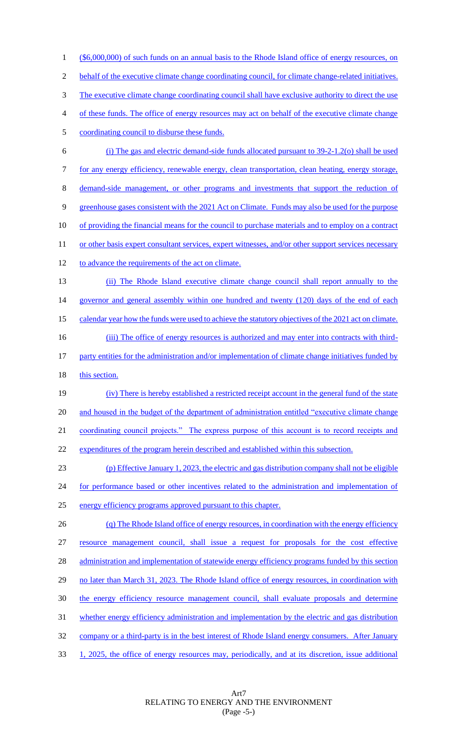1 (\$6,000,000) of such funds on an annual basis to the Rhode Island office of energy resources, on behalf of the executive climate change coordinating council, for climate change-related initiatives. The executive climate change coordinating council shall have exclusive authority to direct the use of these funds. The office of energy resources may act on behalf of the executive climate change coordinating council to disburse these funds. (i) The gas and electric demand-side funds allocated pursuant to 39-2-1.2(o) shall be used for any energy efficiency, renewable energy, clean transportation, clean heating, energy storage, demand-side management, or other programs and investments that support the reduction of greenhouse gases consistent with the 2021 Act on Climate. Funds may also be used for the purpose of providing the financial means for the council to purchase materials and to employ on a contract 11 or other basis expert consultant services, expert witnesses, and/or other support services necessary to advance the requirements of the act on climate. (ii) The Rhode Island executive climate change council shall report annually to the 14 governor and general assembly within one hundred and twenty (120) days of the end of each calendar year how the funds were used to achieve the statutory objectives of the 2021 act on climate. 16 (iii) The office of energy resources is authorized and may enter into contracts with third- party entities for the administration and/or implementation of climate change initiatives funded by 18 this section. (iv) There is hereby established a restricted receipt account in the general fund of the state 20 and housed in the budget of the department of administration entitled "executive climate change" 21 coordinating council projects." The express purpose of this account is to record receipts and expenditures of the program herein described and established within this subsection. (p) Effective January 1, 2023, the electric and gas distribution company shall not be eligible 24 for performance based or other incentives related to the administration and implementation of energy efficiency programs approved pursuant to this chapter. 26 (q) The Rhode Island office of energy resources, in coordination with the energy efficiency resource management council, shall issue a request for proposals for the cost effective 28 administration and implementation of statewide energy efficiency programs funded by this section 29 no later than March 31, 2023. The Rhode Island office of energy resources, in coordination with 30 the energy efficiency resource management council, shall evaluate proposals and determine whether energy efficiency administration and implementation by the electric and gas distribution

32 company or a third-party is in the best interest of Rhode Island energy consumers. After January

33 1, 2025, the office of energy resources may, periodically, and at its discretion, issue additional

Art7 RELATING TO ENERGY AND THE ENVIRONMENT (Page -5-)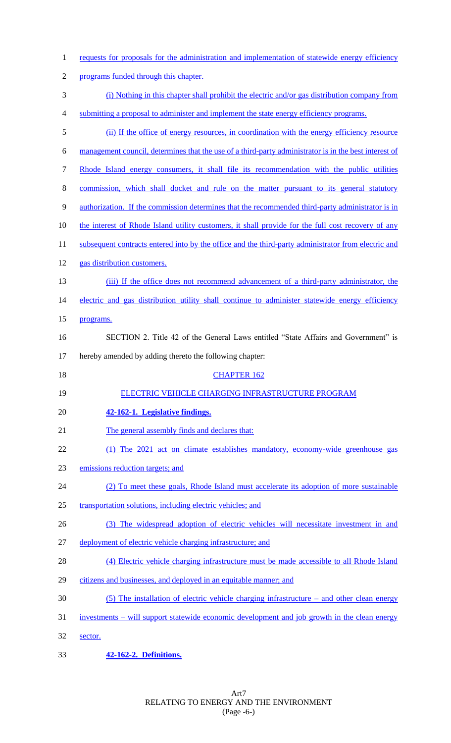| $\mathbf{1}$   | requests for proposals for the administration and implementation of statewide energy efficiency       |
|----------------|-------------------------------------------------------------------------------------------------------|
| $\overline{2}$ | programs funded through this chapter.                                                                 |
| 3              | (i) Nothing in this chapter shall prohibit the electric and/or gas distribution company from          |
| $\overline{4}$ | submitting a proposal to administer and implement the state energy efficiency programs.               |
| 5              | (ii) If the office of energy resources, in coordination with the energy efficiency resource           |
| 6              | management council, determines that the use of a third-party administrator is in the best interest of |
| 7              | Rhode Island energy consumers, it shall file its recommendation with the public utilities             |
| 8              | commission, which shall docket and rule on the matter pursuant to its general statutory               |
| 9              | authorization. If the commission determines that the recommended third-party administrator is in      |
| 10             | the interest of Rhode Island utility customers, it shall provide for the full cost recovery of any    |
| 11             | subsequent contracts entered into by the office and the third-party administrator from electric and   |
| 12             | gas distribution customers.                                                                           |
| 13             | (iii) If the office does not recommend advancement of a third-party administrator, the                |
| 14             | electric and gas distribution utility shall continue to administer statewide energy efficiency        |
| 15             | programs.                                                                                             |
| 16             | SECTION 2. Title 42 of the General Laws entitled "State Affairs and Government" is                    |
| 17             | hereby amended by adding thereto the following chapter:                                               |
| 18             | <b>CHAPTER 162</b>                                                                                    |
| 19             | ELECTRIC VEHICLE CHARGING INFRASTRUCTURE PROGRAM                                                      |
| 20             | 42-162-1. Legislative findings.                                                                       |
| 21             | The general assembly finds and declares that:                                                         |
| 22             | (1) The 2021 act on climate establishes mandatory, economy-wide greenhouse gas                        |
| 23             | emissions reduction targets; and                                                                      |
| 24             | (2) To meet these goals, Rhode Island must accelerate its adoption of more sustainable                |
| 25             | transportation solutions, including electric vehicles; and                                            |
| 26             | (3) The widespread adoption of electric vehicles will necessitate investment in and                   |
| 27             | deployment of electric vehicle charging infrastructure; and                                           |
| 28             | (4) Electric vehicle charging infrastructure must be made accessible to all Rhode Island              |
| 29             | citizens and businesses, and deployed in an equitable manner; and                                     |
| 30             | $(5)$ The installation of electric vehicle charging infrastructure – and other clean energy           |
| 31             | investments – will support statewide economic development and job growth in the clean energy          |
| 32             | sector.                                                                                               |
|                |                                                                                                       |

33 **42-162-2. Definitions.**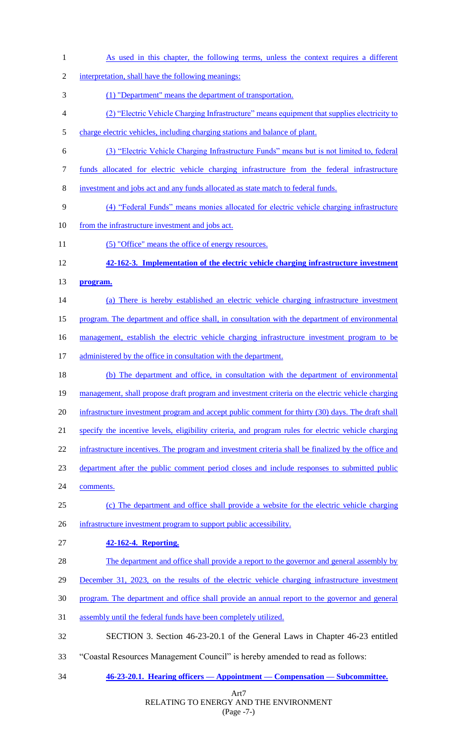Art7 As used in this chapter, the following terms, unless the context requires a different interpretation, shall have the following meanings: (1) "Department" means the department of transportation. (2) "Electric Vehicle Charging Infrastructure" means equipment that supplies electricity to charge electric vehicles, including charging stations and balance of plant. (3) "Electric Vehicle Charging Infrastructure Funds" means but is not limited to, federal funds allocated for electric vehicle charging infrastructure from the federal infrastructure investment and jobs act and any funds allocated as state match to federal funds. (4) "Federal Funds" means monies allocated for electric vehicle charging infrastructure 10 from the infrastructure investment and jobs act. 11 (5) "Office" means the office of energy resources. **42-162-3. Implementation of the electric vehicle charging infrastructure investment program.** (a) There is hereby established an electric vehicle charging infrastructure investment program. The department and office shall, in consultation with the department of environmental 16 management, establish the electric vehicle charging infrastructure investment program to be 17 administered by the office in consultation with the department. (b) The department and office, in consultation with the department of environmental 19 management, shall propose draft program and investment criteria on the electric vehicle charging 20 infrastructure investment program and accept public comment for thirty (30) days. The draft shall specify the incentive levels, eligibility criteria, and program rules for electric vehicle charging 22 infrastructure incentives. The program and investment criteria shall be finalized by the office and department after the public comment period closes and include responses to submitted public comments. (c) The department and office shall provide a website for the electric vehicle charging 26 infrastructure investment program to support public accessibility. **42-162-4. Reporting.** 28 The department and office shall provide a report to the governor and general assembly by December 31, 2023, on the results of the electric vehicle charging infrastructure investment program. The department and office shall provide an annual report to the governor and general assembly until the federal funds have been completely utilized. SECTION 3. Section 46-23-20.1 of the General Laws in Chapter 46-23 entitled "Coastal Resources Management Council" is hereby amended to read as follows: **46-23-20.1. Hearing officers — Appointment — Compensation — Subcommittee.**

## RELATING TO ENERGY AND THE ENVIRONMENT (Page -7-)